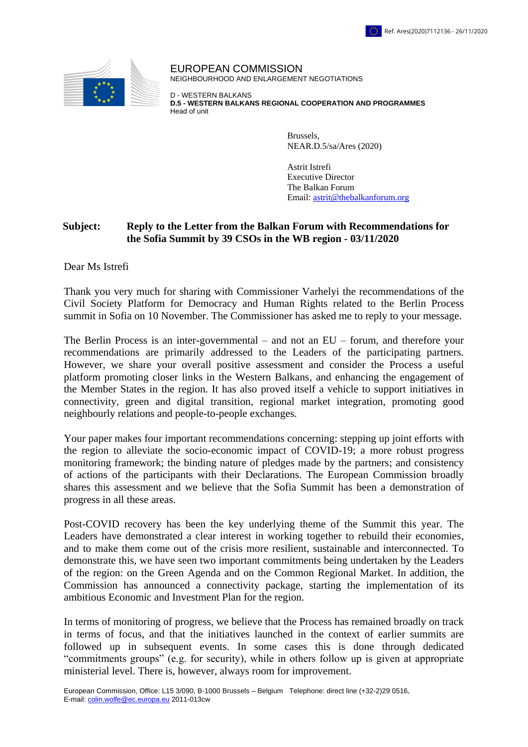

EUROPEAN COMMISSION NEIGHBOURHOOD AND ENLARGEMENT NEGOTIATIONS

D - WESTERN BALKANS **D.5 - WESTERN BALKANS REGIONAL COOPERATION AND PROGRAMMES** Head of unit

> Brussels, NEAR.D.5/sa/Ares (2020)

Astrit Istrefi Executive Director The Balkan Forum Email: [astrit@thebalkanforum.org](mailto:astrit@thebalkanforum.org)

## **Subject: Reply to the Letter from the Balkan Forum with Recommendations for the Sofia Summit by 39 CSOs in the WB region - 03/11/2020**

Dear Ms Istrefi

Thank you very much for sharing with Commissioner Varhelyi the recommendations of the Civil Society Platform for Democracy and Human Rights related to the Berlin Process summit in Sofia on 10 November. The Commissioner has asked me to reply to your message.

The Berlin Process is an inter-governmental – and not an EU – forum, and therefore your recommendations are primarily addressed to the Leaders of the participating partners. However, we share your overall positive assessment and consider the Process a useful platform promoting closer links in the Western Balkans, and enhancing the engagement of the Member States in the region. It has also proved itself a vehicle to support initiatives in connectivity, green and digital transition, regional market integration, promoting good neighbourly relations and people-to-people exchanges.

Your paper makes four important recommendations concerning: stepping up joint efforts with the region to alleviate the socio-economic impact of COVID-19; a more robust progress monitoring framework; the binding nature of pledges made by the partners; and consistency of actions of the participants with their Declarations. The European Commission broadly shares this assessment and we believe that the Sofia Summit has been a demonstration of progress in all these areas.

Post-COVID recovery has been the key underlying theme of the Summit this year. The Leaders have demonstrated a clear interest in working together to rebuild their economies, and to make them come out of the crisis more resilient, sustainable and interconnected. To demonstrate this, we have seen two important commitments being undertaken by the Leaders of the region: on the Green Agenda and on the Common Regional Market. In addition, the Commission has announced a connectivity package, starting the implementation of its ambitious Economic and Investment Plan for the region.

In terms of monitoring of progress, we believe that the Process has remained broadly on track in terms of focus, and that the initiatives launched in the context of earlier summits are followed up in subsequent events. In some cases this is done through dedicated "commitments groups" (e.g. for security), while in others follow up is given at appropriate ministerial level. There is, however, always room for improvement.